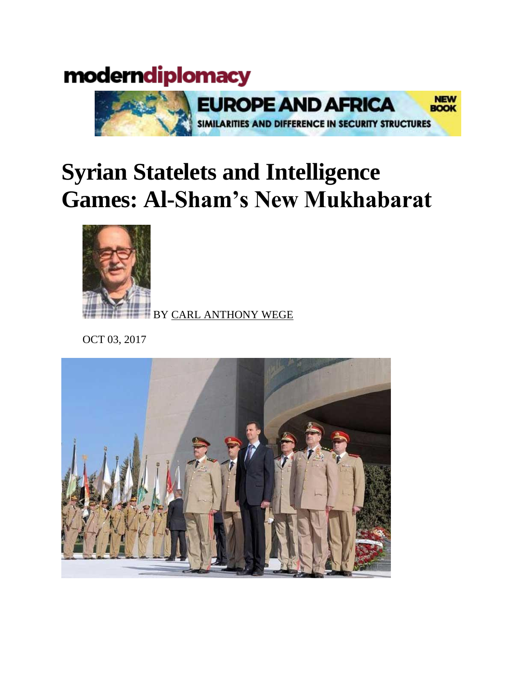## moderndiplomacy



## **Syrian Statelets and Intelligence Games: Al-Sham's New Mukhabarat**



BY [CARL ANTHONY WEGE](http://moderndiplomacy.eu/index.php?option=com_k2&view=itemlist&task=user&id=686:carlanthonywege)

OCT 03, 2017

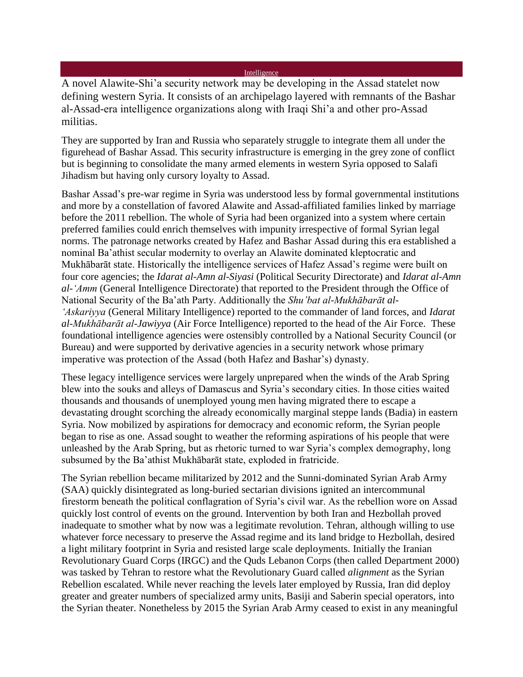[Intelligence](http://moderndiplomacy.eu/index.php?option=com_k2&view=itemlist&task=category&id=25:intelligence)

A novel Alawite-Shi'a security network may be developing in the Assad statelet now defining western Syria. It consists of an archipelago layered with remnants of the Bashar al-Assad-era intelligence organizations along with Iraqi Shi'a and other pro-Assad militias.

They are supported by Iran and Russia who separately struggle to integrate them all under the figurehead of Bashar Assad. This security infrastructure is emerging in the grey zone of conflict but is beginning to consolidate the many armed elements in western Syria opposed to Salafi Jihadism but having only cursory loyalty to Assad.

Bashar Assad's pre-war regime in Syria was understood less by formal governmental institutions and more by a constellation of favored Alawite and Assad-affiliated families linked by marriage before the 2011 rebellion. The whole of Syria had been organized into a system where certain preferred families could enrich themselves with impunity irrespective of formal Syrian legal norms. The patronage networks created by Hafez and Bashar Assad during this era established a nominal Ba'athist secular modernity to overlay an Alawite dominated kleptocratic and Mukhābarāt state. Historically the intelligence services of Hafez Assad's regime were built on four core agencies; the *Idarat al-Amn al-Siyasi* (Political Security Directorate) and *Idarat al-Amn al-'Amm* (General Intelligence Directorate) that reported to the President through the Office of National Security of the Ba'ath Party. Additionally the *Shu'bat al-Mukhābarāt al- 'Askariyya* (General Military Intelligence) reported to the commander of land forces, and *Idarat al-Mukhābarāt al-Jawiyya* (Air Force Intelligence) reported to the head of the Air Force. These foundational intelligence agencies were ostensibly controlled by a National Security Council (or Bureau) and were supported by derivative agencies in a security network whose primary imperative was protection of the Assad (both Hafez and Bashar's) dynasty.

These legacy intelligence services were largely unprepared when the winds of the Arab Spring blew into the souks and alleys of Damascus and Syria's secondary cities. In those cities waited thousands and thousands of unemployed young men having migrated there to escape a devastating drought scorching the already economically marginal steppe lands (Badia) in eastern Syria. Now mobilized by aspirations for democracy and economic reform, the Syrian people began to rise as one. Assad sought to weather the reforming aspirations of his people that were unleashed by the Arab Spring, but as rhetoric turned to war Syria's complex demography, long subsumed by the Ba'athist Mukhābarāt state, exploded in fratricide.

The Syrian rebellion became militarized by 2012 and the Sunni-dominated Syrian Arab Army (SAA) quickly disintegrated as long-buried sectarian divisions ignited an intercommunal firestorm beneath the political conflagration of Syria's civil war. As the rebellion wore on Assad quickly lost control of events on the ground. Intervention by both Iran and Hezbollah proved inadequate to smother what by now was a legitimate revolution. Tehran, although willing to use whatever force necessary to preserve the Assad regime and its land bridge to Hezbollah, desired a light military footprint in Syria and resisted large scale deployments. Initially the Iranian Revolutionary Guard Corps (IRGC) and the Quds Lebanon Corps (then called Department 2000) was tasked by Tehran to restore what the Revolutionary Guard called *alignment* as the Syrian Rebellion escalated. While never reaching the levels later employed by Russia, Iran did deploy greater and greater numbers of specialized army units, Basiji and Saberin special operators, into the Syrian theater. Nonetheless by 2015 the Syrian Arab Army ceased to exist in any meaningful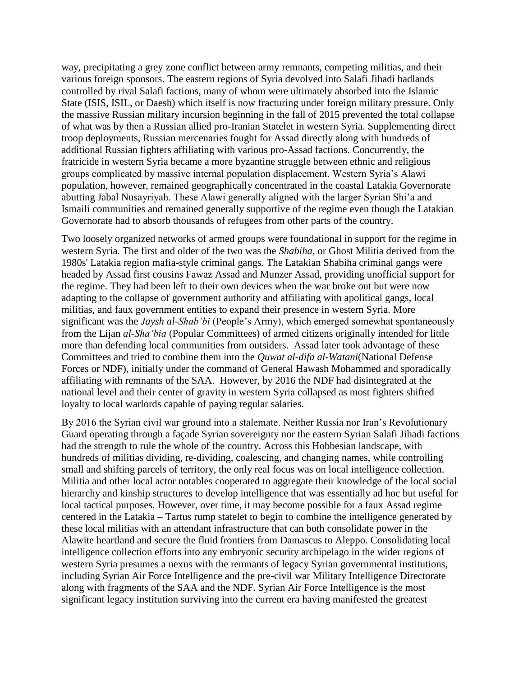way, precipitating a grey zone conflict between army remnants, competing militias, and their various foreign sponsors. The eastern regions of Syria devolved into Salafi Jihadi badlands controlled by rival Salafi factions, many of whom were ultimately absorbed into the Islamic State (ISIS, ISIL, or Daesh) which itself is now fracturing under foreign military pressure. Only the massive Russian military incursion beginning in the fall of 2015 prevented the total collapse of what was by then a Russian allied pro-Iranian Statelet in western Syria. Supplementing direct troop deployments, Russian mercenaries fought for Assad directly along with hundreds of additional Russian fighters affiliating with various pro-Assad factions. Concurrently, the fratricide in western Syria became a more byzantine struggle between ethnic and religious groups complicated by massive internal population displacement. Western Syria's Alawi population, however, remained geographically concentrated in the coastal Latakia Governorate abutting Jabal Nusayriyah. These Alawi generally aligned with the larger Syrian Shi'a and Ismaili communities and remained generally supportive of the regime even though the Latakian Governorate had to absorb thousands of refugees from other parts of the country.

Two loosely organized networks of armed groups were foundational in support for the regime in western Syria. The first and older of the two was the *Shabiha,* or Ghost Militia derived from the 1980s' Latakia region mafia-style criminal gangs. The Latakian Shabiha criminal gangs were headed by Assad first cousins Fawaz Assad and Munzer Assad, providing unofficial support for the regime. They had been left to their own devices when the war broke out but were now adapting to the collapse of government authority and affiliating with apolitical gangs, local militias, and faux government entities to expand their presence in western Syria. More significant was the *Jaysh al-Shab'bi* (People's Army), which emerged somewhat spontaneously from the Lijan *al-Sha'bia* (Popular Committees) of armed citizens originally intended for little more than defending local communities from outsiders. Assad later took advantage of these Committees and tried to combine them into the *Quwat al-difa al-Watani*(National Defense Forces or NDF), initially under the command of General Hawash Mohammed and sporadically affiliating with remnants of the SAA. However, by 2016 the NDF had disintegrated at the national level and their center of gravity in western Syria collapsed as most fighters shifted loyalty to local warlords capable of paying regular salaries.

By 2016 the Syrian civil war ground into a stalemate. Neither Russia nor Iran's Revolutionary Guard operating through a façade Syrian sovereignty nor the eastern Syrian Salafi Jihadi factions had the strength to rule the whole of the country. Across this Hobbesian landscape, with hundreds of militias dividing, re-dividing, coalescing, and changing names, while controlling small and shifting parcels of territory, the only real focus was on local intelligence collection. Militia and other local actor notables cooperated to aggregate their knowledge of the local social hierarchy and kinship structures to develop intelligence that was essentially ad hoc but useful for local tactical purposes. However, over time, it may become possible for a faux Assad regime centered in the Latakia – Tartus rump statelet to begin to combine the intelligence generated by these local militias with an attendant infrastructure that can both consolidate power in the Alawite heartland and secure the fluid frontiers from Damascus to Aleppo. Consolidating local intelligence collection efforts into any embryonic security archipelago in the wider regions of western Syria presumes a nexus with the remnants of legacy Syrian governmental institutions, including Syrian Air Force Intelligence and the pre-civil war Military Intelligence Directorate along with fragments of the SAA and the NDF. Syrian Air Force Intelligence is the most significant legacy institution surviving into the current era having manifested the greatest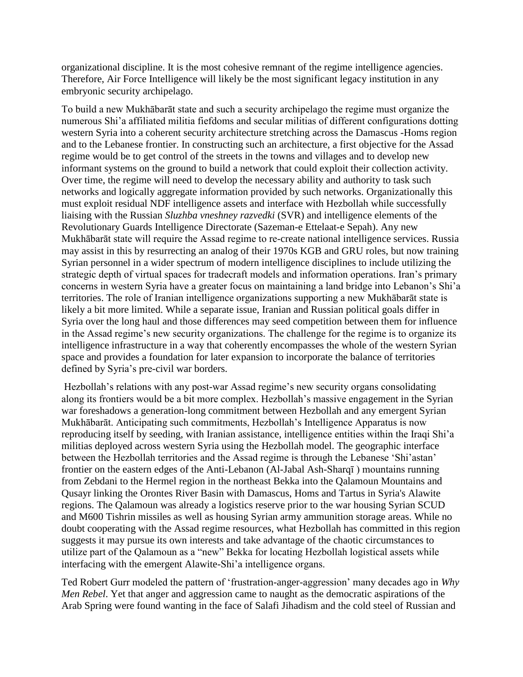organizational discipline. It is the most cohesive remnant of the regime intelligence agencies. Therefore, Air Force Intelligence will likely be the most significant legacy institution in any embryonic security archipelago.

To build a new Mukhābarāt state and such a security archipelago the regime must organize the numerous Shi'a affiliated militia fiefdoms and secular militias of different configurations dotting western Syria into a coherent security architecture stretching across the Damascus -Homs region and to the Lebanese frontier. In constructing such an architecture, a first objective for the Assad regime would be to get control of the streets in the towns and villages and to develop new informant systems on the ground to build a network that could exploit their collection activity. Over time, the regime will need to develop the necessary ability and authority to task such networks and logically aggregate information provided by such networks. Organizationally this must exploit residual NDF intelligence assets and interface with Hezbollah while successfully liaising with the Russian *Sluzhba vneshney razvedki* (SVR) and intelligence elements of the Revolutionary Guards Intelligence Directorate (Sazeman-e Ettelaat-e Sepah). Any new Mukhābarāt state will require the Assad regime to re-create national intelligence services. Russia may assist in this by resurrecting an analog of their 1970s KGB and GRU roles, but now training Syrian personnel in a wider spectrum of modern intelligence disciplines to include utilizing the strategic depth of virtual spaces for tradecraft models and information operations. Iran's primary concerns in western Syria have a greater focus on maintaining a land bridge into Lebanon's Shi'a territories. The role of Iranian intelligence organizations supporting a new Mukhābarāt state is likely a bit more limited. While a separate issue, Iranian and Russian political goals differ in Syria over the long haul and those differences may seed competition between them for influence in the Assad regime's new security organizations. The challenge for the regime is to organize its intelligence infrastructure in a way that coherently encompasses the whole of the western Syrian space and provides a foundation for later expansion to incorporate the balance of territories defined by Syria's pre-civil war borders.

Hezbollah's relations with any post-war Assad regime's new security organs consolidating along its frontiers would be a bit more complex. Hezbollah's massive engagement in the Syrian war foreshadows a generation-long commitment between Hezbollah and any emergent Syrian Mukhābarāt. Anticipating such commitments, Hezbollah's Intelligence Apparatus is now reproducing itself by seeding, with Iranian assistance, intelligence entities within the Iraqi Shi'a militias deployed across western Syria using the Hezbollah model. The geographic interface between the Hezbollah territories and the Assad regime is through the Lebanese 'Shi'astan' frontier on the eastern edges of the Anti-Lebanon (Al-Jabal Ash-Sharqī ) mountains running from Zebdani to the Hermel region in the northeast Bekka into the Qalamoun Mountains and Qusayr linking the Orontes River Basin with Damascus, Homs and Tartus in Syria's Alawite regions. The Qalamoun was already a logistics reserve prior to the war housing Syrian SCUD and M600 Tishrin missiles as well as housing Syrian army ammunition storage areas. While no doubt cooperating with the Assad regime resources, what Hezbollah has committed in this region suggests it may pursue its own interests and take advantage of the chaotic circumstances to utilize part of the Qalamoun as a "new" Bekka for locating Hezbollah logistical assets while interfacing with the emergent Alawite-Shi'a intelligence organs.

Ted Robert Gurr modeled the pattern of 'frustration-anger-aggression' many decades ago in *Why Men Rebel*. Yet that anger and aggression came to naught as the democratic aspirations of the Arab Spring were found wanting in the face of Salafi Jihadism and the cold steel of Russian and